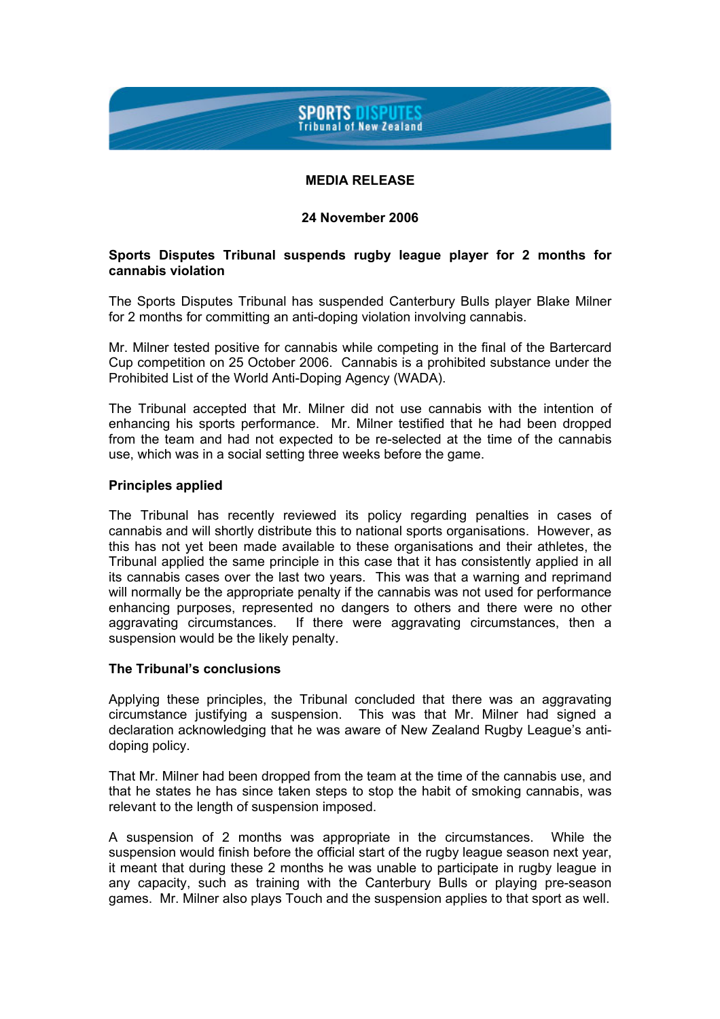# **SPORTS DISPUTES Tribunal of New Zealand**

# **MEDIA RELEASE**

### **24 November 2006**

## **Sports Disputes Tribunal suspends rugby league player for 2 months for cannabis violation**

The Sports Disputes Tribunal has suspended Canterbury Bulls player Blake Milner for 2 months for committing an anti-doping violation involving cannabis.

Mr. Milner tested positive for cannabis while competing in the final of the Bartercard Cup competition on 25 October 2006. Cannabis is a prohibited substance under the Prohibited List of the World Anti-Doping Agency (WADA).

The Tribunal accepted that Mr. Milner did not use cannabis with the intention of enhancing his sports performance. Mr. Milner testified that he had been dropped from the team and had not expected to be re-selected at the time of the cannabis use, which was in a social setting three weeks before the game.

### **Principles applied**

The Tribunal has recently reviewed its policy regarding penalties in cases of cannabis and will shortly distribute this to national sports organisations. However, as this has not yet been made available to these organisations and their athletes, the Tribunal applied the same principle in this case that it has consistently applied in all its cannabis cases over the last two years. This was that a warning and reprimand will normally be the appropriate penalty if the cannabis was not used for performance enhancing purposes, represented no dangers to others and there were no other aggravating circumstances. If there were aggravating circumstances, then a suspension would be the likely penalty.

### **The Tribunal's conclusions**

Applying these principles, the Tribunal concluded that there was an aggravating circumstance justifying a suspension. This was that Mr. Milner had signed a declaration acknowledging that he was aware of New Zealand Rugby League's antidoping policy.

That Mr. Milner had been dropped from the team at the time of the cannabis use, and that he states he has since taken steps to stop the habit of smoking cannabis, was relevant to the length of suspension imposed.

A suspension of 2 months was appropriate in the circumstances. While the suspension would finish before the official start of the rugby league season next year, it meant that during these 2 months he was unable to participate in rugby league in any capacity, such as training with the Canterbury Bulls or playing pre-season games. Mr. Milner also plays Touch and the suspension applies to that sport as well.